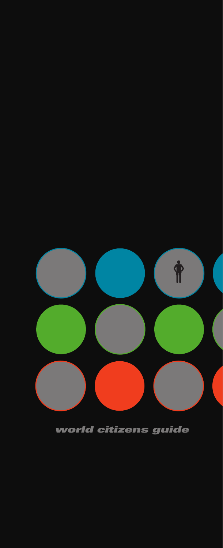

world citizens guide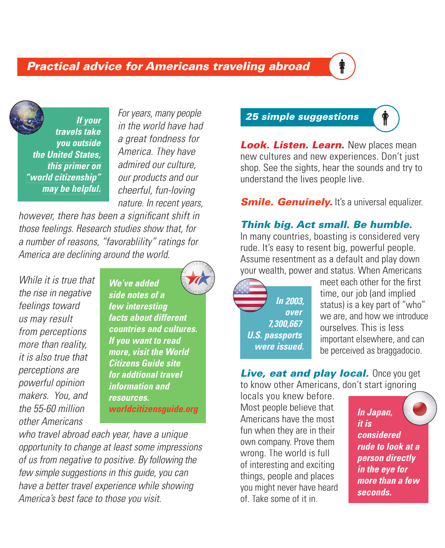## **Practical advice for Americans traveling abroad**

**If your travels take you outside the United States, this primer on "world citizenship" may be helpful.** 

For years, many people in the world have had a great fondness for America. They have admired our culture, our products and our cheerful, fun-loving nature. In recent years,

however, there has been a significant shift in those feelings. Research studies show that, for a number of reasons, "favorablility" ratings for America are declining around the world.

While it is true that the rise in negative feelings toward us may result from perceptions more than reality, it is also true that perceptions are powerful opinion makers. You, and the 55-60 million other Americans

**We've added side notes of a few interesting facts about different countries and cultures. If you want to read more, visit the World Citizens Guide site for addtional travel information and resources. worldcitizensguide.org**

who travel abroad each year, have a unique opportunity to change at least some impressions of us from negative to positive. By following the few simple suggestions in this guide, you can have a better travel experience while showing America's best face to those you visit.

## 25 simple suggestions  $\left\{\phi\right\}$

Look. Listen. Learn. New places mean new cultures and new experiences. Don't just shop. See the sights, hear the sounds and try to understand the lives people live.

**Smile. Genuinely.** It's a universal equalizer.

#### Think big. Act small. Be humble.

In many countries, boasting is considered very rude. It's easy to resent big, powerful people. Assume resentment as a default and play down your wealth, power and status. When Americans

**In 2003, over 7,300,667 U.S. passports were issued.** 

meet each other for the first time, our job (and implied status) is a key part of "who" we are, and how we introduce ourselves. This is less important elsewhere, and can be perceived as braggadocio.

Live, eat and play local. Once you get

to know other Americans, don't start ignoring locals you knew before. Most people believe that Americans have the most fun when they are in their own company. Prove them wrong. The world is full of interesting and exciting things, people and places you might never have heard of. Take some of it in.

**In Japan, it is considered rude to look at a person directly in the eye for more than a few seconds.**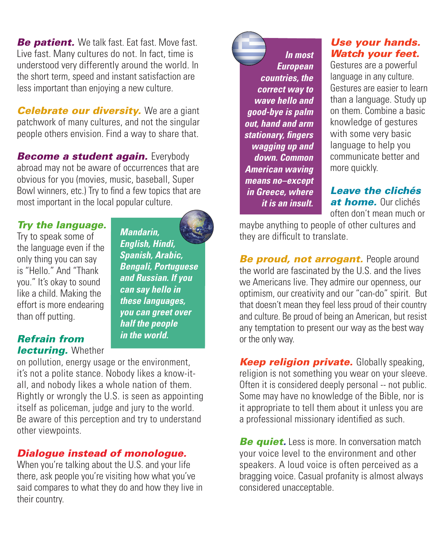**Be patient.** We talk fast. Eat fast. Move fast. Live fast. Many cultures do not. In fact, time is understood very differently around the world. In the short term, speed and instant satisfaction are less important than enjoying a new culture.

**Celebrate our diversity.** We are a giant patchwork of many cultures, and not the singular people others envision. Find a way to share that.

**Become a student again.** Everybody abroad may not be aware of occurrences that are obvious for you (movies, music, baseball, Super Bowl winners, etc.) Try to find a few topics that are most important in the local popular culture.

### Try the language.

Try to speak some of the language even if the only thing you can say is "Hello." And "Thank you." It's okay to sound like a child. Making the effort is more endearing than off putting.

**Mandarin, English, Hindi, Spanish, Arabic, Bengali, Portuguese and Russian. If you can say hello in these languages, you can greet over half the people in the world.** 

#### Refrain from **lecturing.** Whether

on pollution, energy usage or the environment, it's not a polite stance. Nobody likes a know-itall, and nobody likes a whole nation of them. Rightly or wrongly the U.S. is seen as appointing itself as policeman, judge and jury to the world. Be aware of this perception and try to understand other viewpoints.

## Dialogue instead of monologue.

When you're talking about the U.S. and your life there, ask people you're visiting how what you've said compares to what they do and how they live in their country.

**In most European countries, the correct way to wave hello and good-bye is palm out, hand and arm**  stationary, fingers **wagging up and down. Common American waving means no–except in Greece, where it is an insult.** 

### Use your hands. Watch your feet.

Gestures are a powerful language in any culture. Gestures are easier to learn than a language. Study up on them. Combine a basic knowledge of gestures with some very basic language to help you communicate better and more quickly.

#### Leave the clichés at home. Our clichés often don't mean much or

maybe anything to people of other cultures and they are difficult to translate.

**Be proud, not arrogant.** People around the world are fascinated by the U.S. and the lives we Americans live. They admire our openness, our optimism, our creativity and our "can-do" spirit. But that doesn't mean they feel less proud of their country and culture. Be proud of being an American, but resist any temptation to present our way as the best way or the only way.

**Keep religion private.** Globally speaking, religion is not something you wear on your sleeve. Often it is considered deeply personal -- not public. Some may have no knowledge of the Bible, nor is it appropriate to tell them about it unless you are a professional missionary identified as such.

**Be quiet.** Less is more. In conversation match your voice level to the environment and other speakers. A loud voice is often perceived as a bragging voice. Casual profanity is almost always considered unacceptable.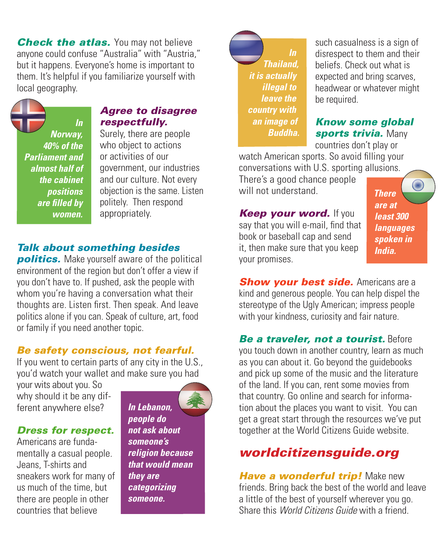**Check the atlas.** You may not believe anyone could confuse "Australia" with "Austria," but it happens. Everyone's home is important to them. It's helpful if you familiarize yourself with local geography.

**In Norway, 40% of the Parliament and almost half of the cabinet positions are fi lled by women.**

#### Agree to disagree respectfully.

Surely, there are people who object to actions or activities of our government, our industries and our culture. Not every objection is the same. Listen politely. Then respond appropriately.

#### Talk about something besides

**politics.** Make yourself aware of the political environment of the region but don't offer a view if you don't have to. If pushed, ask the people with whom you're having a conversation what their thoughts are. Listen first. Then speak. And leave politics alone if you can. Speak of culture, art, food or family if you need another topic.

#### Be safety conscious, not fearful.

If you went to certain parts of any city in the U.S., you'd watch your wallet and make sure you had

your wits about you. So why should it be any different anywhere else?

#### Dress for respect.

Americans are fundamentally a casual people. Jeans, T-shirts and sneakers work for many of us much of the time, but there are people in other countries that believe

**In Lebanon, people do not ask about someone's religion because that would mean they are categorizing someone.** 

**Thailand, it is actually illegal to leave the country with an image of Buddha.**  such casualness is a sign of disrespect to them and their beliefs. Check out what is expected and bring scarves, headwear or whatever might be required.

#### Know some global sports trivia. Many

countries don't play or watch American sports. So avoid filling your conversations with U.S. sporting allusions.

There's a good chance people will not understand.

**Keep your word.** If you say that you will e-mail, find that book or baseball cap and send it, then make sure that you keep your promises.

**RANDIS There are at least 300 languages spoken in India.** 

**Show your best side.** Americans are a kind and generous people. You can help dispel the stereotype of the Ugly American; impress people with your kindness, curiosity and fair nature.

Be a traveler, not a tourist. Before you touch down in another country, learn as much as you can about it. Go beyond the guidebooks and pick up some of the music and the literature of the land. If you can, rent some movies from that country. Go online and search for information about the places you want to visit. You can get a great start through the resources we've put together at the World Citizens Guide website.

## worldcitizensguide.org

**Have a wonderful trip!** Make new friends. Bring back the best of the world and leave a little of the best of yourself wherever you go. Share this World Citizens Guide with a friend.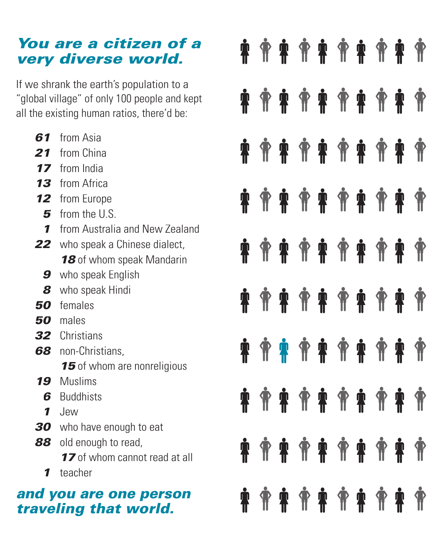# You are a citizen of a very diverse world.

If we shrank the earth's population to a "global village" of only 100 people and kept all the existing human ratios, there'd be:

- 61 from Asia
- 21 from China
- 17 from India
- 13 from Africa
- 12 from Europe
	- 5 from the U.S.
	- **1** from Australia and New Zealand
- 22 who speak a Chinese dialect, 18 of whom speak Mandarin
	- **9** who speak English
	- 8 who speak Hindi
- 50 females
- 50 males
- 32 Christians
- 68 non-Christians. 15 of whom are nonreligious
- 19 Muslims
- **6** Buddhists
- 1 Jew
- 30 who have enough to eat
- 88 old enough to read. 17 of whom cannot read at all 1 teacher

# and you are one person traveling that world.

| <b>İ</b>           |  |  | <b>乔柬乔柬乔柬乔柬乔</b>           |  |  |
|--------------------|--|--|----------------------------|--|--|
| <b>Å</b>           |  |  | <b>. * * * * * * * * *</b> |  |  |
| <b>Å</b>           |  |  | <b>^********</b>           |  |  |
|                    |  |  |                            |  |  |
|                    |  |  |                            |  |  |
| <b>Å</b>           |  |  |                            |  |  |
| $\dot{\mathbf{r}}$ |  |  |                            |  |  |
| $\mathbf{\dot{P}}$ |  |  |                            |  |  |